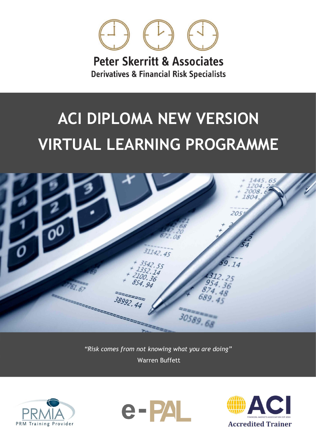

**Peter Skerritt & Associates Derivatives & Financial Risk Specialists** 

# **ACI DIPLOMA NEW VERSION VIRTUAL LEARNING PROGRAMME**



*"Risk comes from not knowing what you are doing"* Warren Buffett





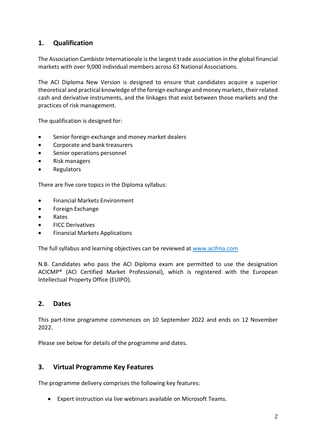# **1. Qualification**

The Association Cambiste Internationale is the largest trade association in the global financial markets with over 9,000 individual members across 63 National Associations.

The ACI Diploma New Version is designed to ensure that candidates acquire a superior theoretical and practical knowledge of the foreign exchange and money markets, their related cash and derivative instruments, and the linkages that exist between those markets and the practices of risk management.

The qualification is designed for:

- Senior foreign exchange and money market dealers
- Corporate and bank treasurers
- Senior operations personnel
- Risk managers
- Regulators

There are five core topics in the Diploma syllabus:

- Financial Markets Environment
- Foreign Exchange
- Rates
- FICC Derivatives
- Financial Markets Applications

The full syllabus and learning objectives can be reviewed at [www.acifma.com](http://www.acifma.com/)

N.B. Candidates who pass the ACI Diploma exam are permitted to use the designation ACICMP® (ACI Certified Market Professional), which is registered with the European Intellectual Property Office (EUIPO).

#### **2. Dates**

This part-time programme commences on 10 September 2022 and ends on 12 November 2022.

Please see below for details of the programme and dates.

#### **3. Virtual Programme Key Features**

The programme delivery comprises the following key features:

• Expert instruction via live webinars available on Microsoft Teams.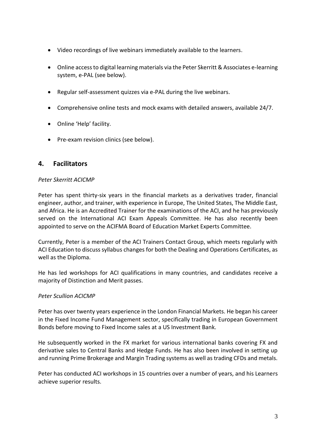- Video recordings of live webinars immediately available to the learners.
- Online access to digital learning materials via the Peter Skerritt & Associates e-learning system, e-PAL (see below).
- Regular self-assessment quizzes via e-PAL during the live webinars.
- Comprehensive online tests and mock exams with detailed answers, available 24/7.
- Online 'Help' facility.
- Pre-exam revision clinics (see below).

## **4. Facilitators**

#### *Peter Skerritt ACICMP*

Peter has spent thirty-six years in the financial markets as a derivatives trader, financial engineer, author, and trainer, with experience in Europe, The United States, The Middle East, and Africa. He is an Accredited Trainer for the examinations of the ACI, and he has previously served on the International ACI Exam Appeals Committee. He has also recently been appointed to serve on the ACIFMA Board of Education Market Experts Committee.

Currently, Peter is a member of the ACI Trainers Contact Group, which meets regularly with ACI Education to discuss syllabus changes for both the Dealing and Operations Certificates, as well as the Diploma.

He has led workshops for ACI qualifications in many countries, and candidates receive a majority of Distinction and Merit passes.

#### *Peter Scullion ACICMP*

Peter has over twenty years experience in the London Financial Markets. He began his career in the Fixed Income Fund Management sector, specifically trading in European Government Bonds before moving to Fixed Income sales at a US Investment Bank.

He subsequently worked in the FX market for various international banks covering FX and derivative sales to Central Banks and Hedge Funds. He has also been involved in setting up and running Prime Brokerage and Margin Trading systems as well as trading CFDs and metals.

Peter has conducted ACI workshops in 15 countries over a number of years, and his Learners achieve superior results.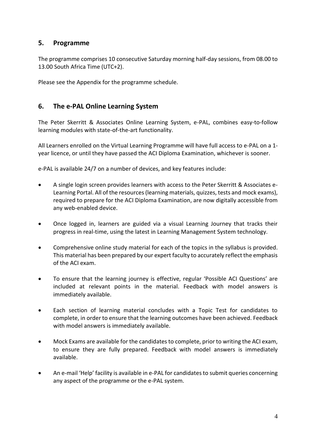## **5. Programme**

The programme comprises 10 consecutive Saturday morning half-day sessions, from 08.00 to 13.00 South Africa Time (UTC+2).

Please see the Appendix for the programme schedule.

# **6. The e-PAL Online Learning System**

The Peter Skerritt & Associates Online Learning System, e-PAL, combines easy-to-follow learning modules with state-of-the-art functionality.

All Learners enrolled on the Virtual Learning Programme will have full access to e-PAL on a 1 year licence, or until they have passed the ACI Diploma Examination, whichever is sooner.

e-PAL is available 24/7 on a number of devices, and key features include:

- A single login screen provides learners with access to the Peter Skerritt & Associates e-Learning Portal. All of the resources (learning materials, quizzes, tests and mock exams), required to prepare for the ACI Diploma Examination, are now digitally accessible from any web-enabled device.
- Once logged in, learners are guided via a visual Learning Journey that tracks their progress in real-time, using the latest in Learning Management System technology.
- Comprehensive online study material for each of the topics in the syllabus is provided. This material has been prepared by our expert faculty to accurately reflect the emphasis of the ACI exam.
- To ensure that the learning journey is effective, regular 'Possible ACI Questions' are included at relevant points in the material. Feedback with model answers is immediately available.
- Each section of learning material concludes with a Topic Test for candidates to complete, in order to ensure that the learning outcomes have been achieved. Feedback with model answers is immediately available.
- Mock Exams are available for the candidates to complete, prior to writing the ACI exam, to ensure they are fully prepared. Feedback with model answers is immediately available.
- An e-mail 'Help' facility is available in e-PAL for candidates to submit queries concerning any aspect of the programme or the e-PAL system.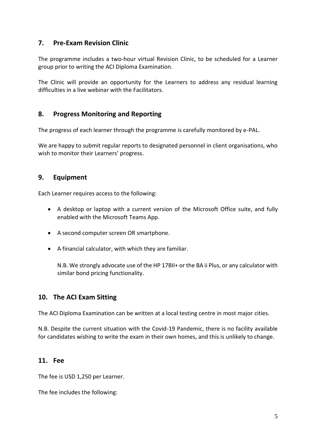## **7. Pre-Exam Revision Clinic**

The programme includes a two-hour virtual Revision Clinic, to be scheduled for a Learner group prior to writing the ACI Diploma Examination.

The Clinic will provide an opportunity for the Learners to address any residual learning difficulties in a live webinar with the Facilitators.

## **8. Progress Monitoring and Reporting**

The progress of each learner through the programme is carefully monitored by e-PAL.

We are happy to submit regular reports to designated personnel in client organisations, who wish to monitor their Learners' progress.

## **9. Equipment**

Each Learner requires access to the following:

- A desktop or laptop with a current version of the Microsoft Office suite, and fully enabled with the Microsoft Teams App.
- A second computer screen OR smartphone.
- A financial calculator, with which they are familiar.

N.B. We strongly advocate use of the HP 17BII+ or the BA ii Plus, or any calculator with similar bond pricing functionality.

## **10. The ACI Exam Sitting**

The ACI Diploma Examination can be written at a local testing centre in most major cities.

N.B. Despite the current situation with the Covid-19 Pandemic, there is no facility available for candidates wishing to write the exam in their own homes, and this is unlikely to change.

#### **11. Fee**

The fee is USD 1,250 per Learner.

The fee includes the following: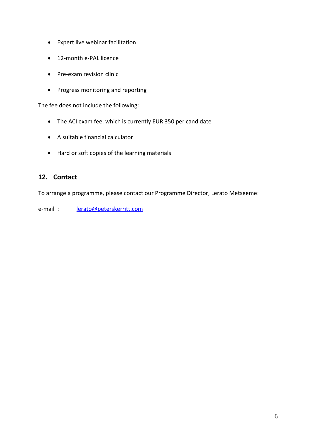- Expert live webinar facilitation
- 12-month e-PAL licence
- Pre-exam revision clinic
- Progress monitoring and reporting

The fee does not include the following:

- The ACI exam fee, which is currently EUR 350 per candidate
- A suitable financial calculator
- Hard or soft copies of the learning materials

## **12. Contact**

To arrange a programme, please contact our Programme Director, Lerato Metseeme:

e-mail : [lerato@peterskerritt.com](mailto:lerato@peterskerritt.com)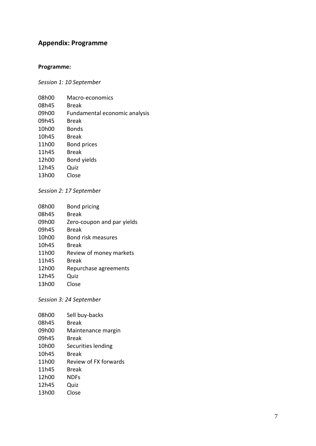## **Appendix : Programme**

## **Programme:**

*Session 1: 10 September*

| 08h00 | Macro-economics               |
|-------|-------------------------------|
| 08h45 | Break                         |
| 09h00 | Fundamental economic analysis |
| 09h45 | Break                         |
| 10h00 | <b>Bonds</b>                  |
| 10h45 | Break                         |
| 11h00 | <b>Bond prices</b>            |
| 11h45 | Break                         |
| 12h00 | Bond yields                   |
| 12h45 | Quiz                          |
| 13h00 | Close                         |
|       |                               |

*Session 2: 1 7 September*

| 08h00              | <b>Bond pricing</b>        |
|--------------------|----------------------------|
| 08h45              | <b>Break</b>               |
| 09h00              | Zero-coupon and par yields |
| 09h45              | <b>Break</b>               |
| 10 <sub>h</sub> 00 | <b>Bond risk measures</b>  |
| 10 <sub>h45</sub>  | Break                      |
| 11h00              | Review of money markets    |
| 11h45              | Break                      |
| 12h00              | Repurchase agreements      |
| 12h45              | Quiz                       |
| 13h00              | Close                      |

*Session 3: 2 4 September*

| 08h00              | Sell buy-backs        |
|--------------------|-----------------------|
| 08h45              | Break                 |
| 09h00              | Maintenance margin    |
| 09h45              | Break                 |
| 10 <sub>h</sub> 00 | Securities lending    |
| 10h45              | Break                 |
| 11h00              | Review of FX forwards |
| 11h45              | Break                 |
| 12h00              | <b>NDFs</b>           |
| 12h45              | Quiz                  |
| 13h00              | Close                 |
|                    |                       |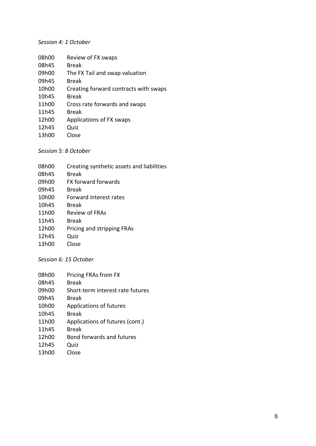#### *Session 4: 1 October*

| 08h00 | Review of FX swaps                    |
|-------|---------------------------------------|
| 08h45 | Break                                 |
| 09h00 | The FX Tail and swap valuation        |
| 09h45 | Break                                 |
| 10h00 | Creating forward contracts with swaps |
| 10h45 | Break                                 |
| 11h00 | Cross rate forwards and swaps         |
| 11h45 | Break                                 |
| 12h00 | Applications of FX swaps              |
| 12h45 | Quiz                                  |
| 13h00 | Close                                 |
|       |                                       |

*Session 5: 8 October*

| 08h00 | Creating synthetic assets and liabilities |
|-------|-------------------------------------------|
| 08h45 | <b>Break</b>                              |
| 09h00 | <b>FX forward forwards</b>                |
| 09h45 | Break                                     |
| 10h00 | Forward interest rates                    |
| 10h45 | Break                                     |
| 11h00 | Review of FRAs                            |
| 11h45 | <b>Break</b>                              |
| 12h00 | Pricing and stripping FRAs                |
| 12h45 | Quiz                                      |
| 13h00 | Close                                     |
|       |                                           |

*Session 6: 15 October*

| 08h00 | Pricing FRAs from FX             |
|-------|----------------------------------|
| 08h45 | Break                            |
| 09h00 | Short-term interest rate futures |
| 09h45 | Break                            |
| 10h00 | Applications of futures          |
| 10h45 | Break                            |
| 11h00 | Applications of futures (cont.)  |
| 11h45 | <b>Break</b>                     |
| 12h00 | Bond forwards and futures        |
| 12h45 | Quiz                             |
| 13h00 | Close                            |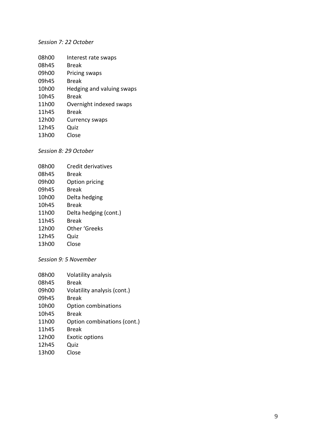#### *Session 7: 22 October*

| 08h00 | Interest rate swaps       |
|-------|---------------------------|
| 08h45 | Break                     |
| 09h00 | Pricing swaps             |
| 09h45 | Break                     |
| 10h00 | Hedging and valuing swaps |
| 10h45 | Break                     |
| 11h00 | Overnight indexed swaps   |
| 11h45 | Break                     |
| 12h00 | <b>Currency swaps</b>     |
| 12h45 | Quiz                      |
| 13h00 | Close                     |

*Session 8: 2 9 October*

| 08h00 | Credit derivatives    |
|-------|-----------------------|
| 08h45 | Break                 |
| 09h00 | Option pricing        |
| 09h45 | <b>Break</b>          |
| 10h00 | Delta hedging         |
| 10h45 | Break                 |
| 11h00 | Delta hedging (cont.) |
| 11h45 | <b>Break</b>          |
| 12h00 | Other 'Greeks         |
| 12h45 | Quiz                  |
| 13h00 | Close                 |

*Session 9: 5 November*

| 08h00              | Volatility analysis         |
|--------------------|-----------------------------|
| 08h45              | Break                       |
| 09h00              | Volatility analysis (cont.) |
| 09h45              | <b>Break</b>                |
| 10 <sub>h</sub> 00 | <b>Option combinations</b>  |
| 10 <sub>h45</sub>  | Break                       |
| 11 <sub>h</sub> 00 | Option combinations (cont.) |
| 11h45              | Break                       |
| 12h00              | <b>Exotic options</b>       |
| 12h45              | Quiz                        |
| 13h00              | Close                       |